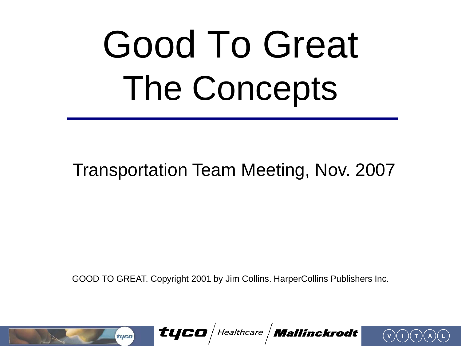# Good To Great The Concepts

#### Transportation Team Meeting, Nov. 2007

GOOD TO GREAT. Copyright 2001 by Jim Collins. HarperCollins Publishers Inc.



tyco | Healthcare | Mallinckrodt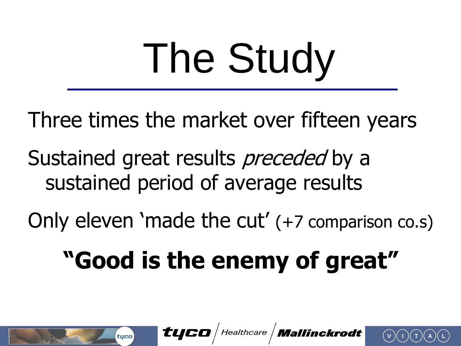# The Study

Three times the market over fifteen years

Sustained great results *preceded* by a sustained period of average results

Only eleven 'made the cut' (+7 comparison co.s)

#### **"Good is the enemy of great"**

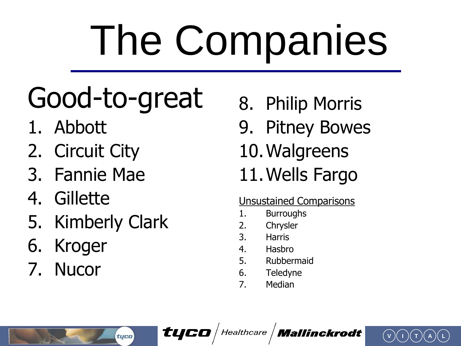# The Companies

#### Good-to-great

- 1. Abbott
- 2. Circuit City
- 3. Fannie Mae
- 4. Gillette
- 5. Kimberly Clark

tyco

- 6. Kroger
- 7. Nucor
- 8. Philip Morris
- 9. Pitney Bowes
- 10.Walgreens
- 11.Wells Fargo

#### Unsustained Comparisons

**V I T A L**

- 1. Burroughs
- 2. Chrysler
- 3. Harris
- 4. Hasbro
- 5. Rubbermaid
- 6. Teledyne
- 7. Median

 $\bm{t}$ yco $/$ Healthcare  $/$  Mallinckrodt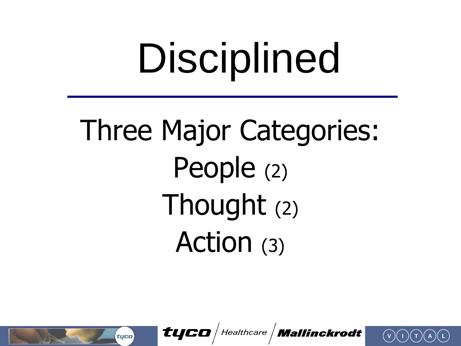# Disciplined

#### Three Major Categories: People (2) Thought (2) Action (3)

tyco

tyco | Healthcare | Mallinckrodt

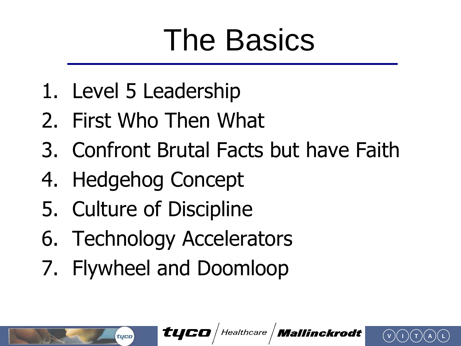#### The Basics

- 1. Level 5 Leadership
- 2. First Who Then What
- 3. Confront Brutal Facts but have Faith
- 4. Hedgehog Concept
- 5. Culture of Discipline

tyco

- 6. Technology Accelerators
- 7. Flywheel and Doomloop

 $\bm{t}$ YCO Healthcare **| Mallinckrodt**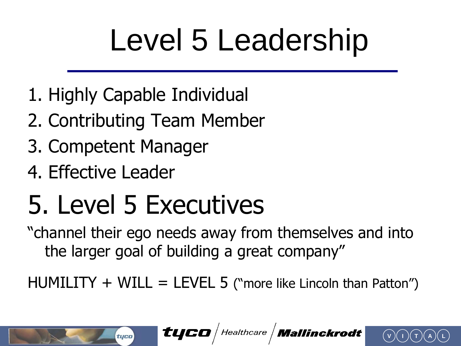#### Level 5 Leadership

- 1. Highly Capable Individual
- 2. Contributing Team Member
- 3. Competent Manager

tyco

4. Effective Leader

#### 5. Level 5 Executives

"channel their ego needs away from themselves and into the larger goal of building a great company"

 $HUMILITY + WILL = LEVEL 5$  ("more like Lincoln than Patton")



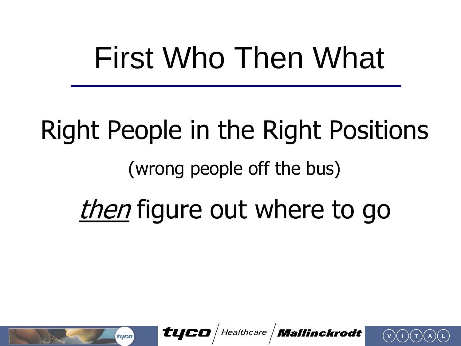#### First Who Then What

## Right People in the Right Positions (wrong people off the bus) then figure out where to go

tyco Healthcare *Mallinckrodt* 

tyco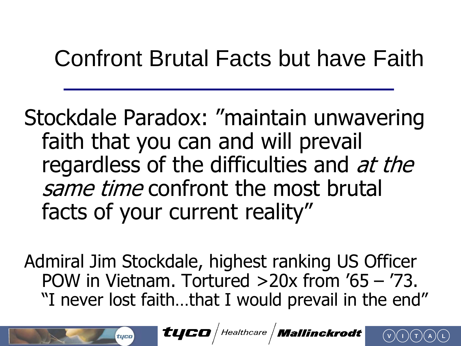#### Confront Brutal Facts but have Faith

Stockdale Paradox: "maintain unwavering faith that you can and will prevail regardless of the difficulties and at the same time confront the most brutal facts of your current reality"

Admiral Jim Stockdale, highest ranking US Officer POW in Vietnam. Tortured >20x from '65 – '73. "I never lost faith…that I would prevail in the end"

tuco

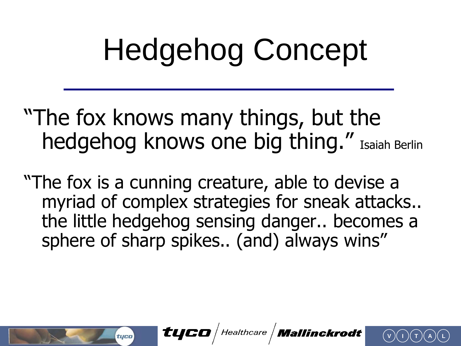### Hedgehog Concept

- "The fox knows many things, but the hedgehog knows one big thing." Isaiah Berlin
- "The fox is a cunning creature, able to devise a myriad of complex strategies for sneak attacks.. the little hedgehog sensing danger.. becomes a sphere of sharp spikes.. (and) always wins"

tyco

tyco $\sqrt{\textit{Healthcare}}$  Mallinckrodt

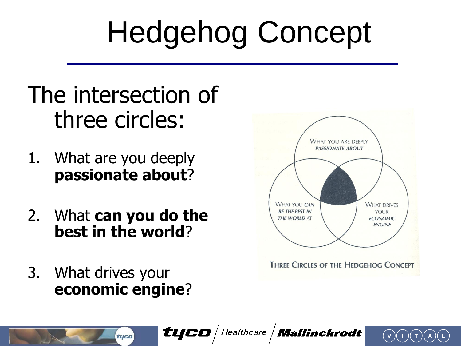## Hedgehog Concept

#### The intersection of three circles:

- 1. What are you deeply **passionate about**?
- 2. What **can you do the best in the world**?
- 3. What drives your **economic engine**?

tyco



**V I T A L**

 $\bm{t}$ yco $/$  Healthcare  $/$  Mallinckrodt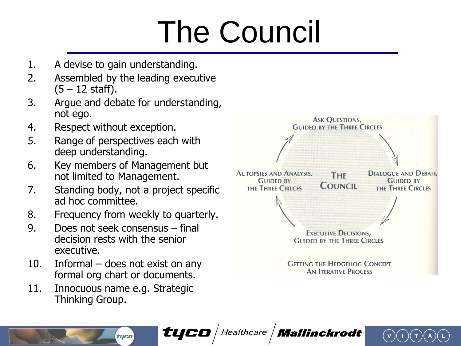## The Council

- 1. A devise to gain understanding.
- 2. Assembled by the leading executive  $(5 - 12 \text{ staff}).$
- 3. Argue and debate for understanding, not ego.
- 4. Respect without exception.
- 5. Range of perspectives each with deep understanding.
- 6. Key members of Management but not limited to Management.
- 7. Standing body, not a project specific ad hoc committee.
- 8. Frequency from weekly to quarterly.
- 9. Does not seek consensus final decision rests with the senior executive.
- 10. Informal does not exist on any formal org chart or documents.
- 11. Innocuous name e.g. Strategic Thinking Group.

tyco



 $\bm{t}$ UCO | Healthcare | Mallinckrodt

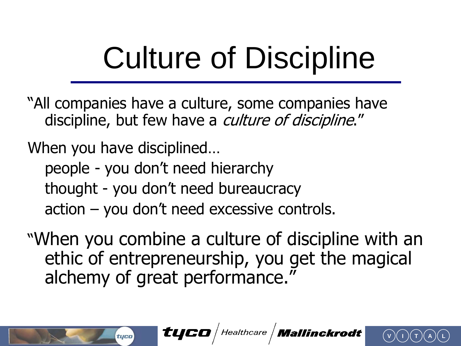#### Culture of Discipline

- "All companies have a culture, some companies have discipline, but few have a *culture of discipline*."
- When you have disciplined…

tyco

- people you don't need hierarchy
- thought you don't need bureaucracy
- action you don't need excessive controls.
- "When you combine a culture of discipline with an ethic of entrepreneurship, you get the magical alchemy of great performance."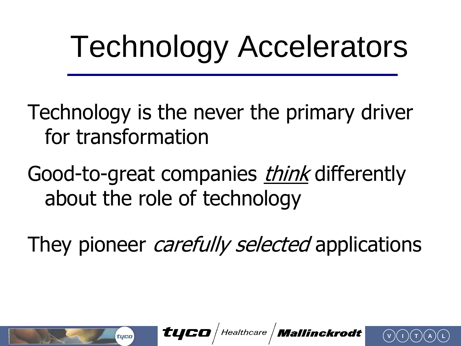### Technology Accelerators

- Technology is the never the primary driver for transformation
- Good-to-great companies *think* differently about the role of technology
- They pioneer *carefully selected* applications

tyco

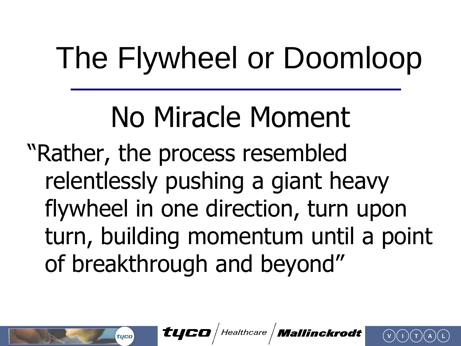### The Flywheel or Doomloop

#### No Miracle Moment "Rather, the process resembled relentlessly pushing a giant heavy flywheel in one direction, turn upon turn, building momentum until a point of breakthrough and beyond"



tyco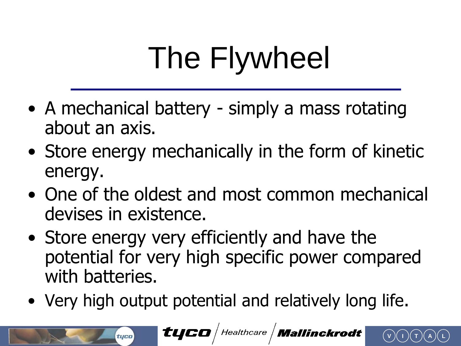## The Flywheel

- A mechanical battery simply a mass rotating about an axis.
- Store energy mechanically in the form of kinetic energy.
- One of the oldest and most common mechanical devises in existence.
- Store energy very efficiently and have the potential for very high specific power compared with batteries.
- Very high output potential and relatively long life.

tyco

tyco | Healthcare | Mallinckrodt